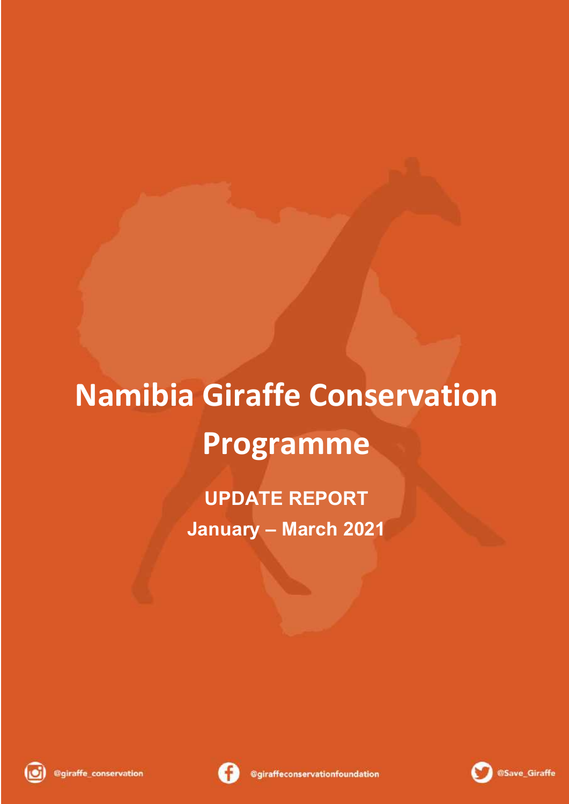# **Namibia Giraffe Conservation Programme**

**UPDATE REPORT January – March 2021**





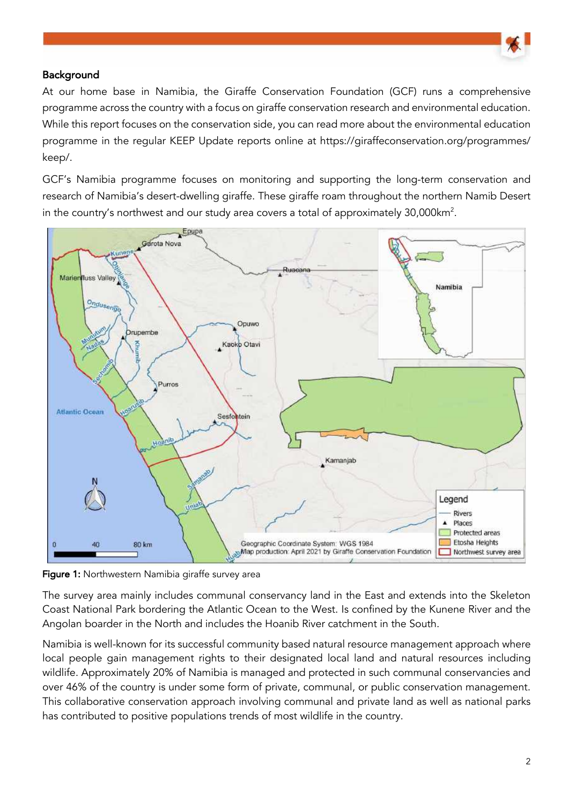

### Background

At our home base in Namibia, the Giraffe Conservation Foundation (GCF) runs a comprehensive programme across the country with a focus on giraffe conservation research and environmental education. While this report focuses on the conservation side, you can read more about the environmental education programme in the regular KEEP Update reports online at https://giraffeconservation.org/programmes/ keep/.

GCF's Namibia programme focuses on monitoring and supporting the long-term conservation and research of Namibia's desert-dwelling giraffe. These giraffe roam throughout the northern Namib Desert in the country's northwest and our study area covers a total of approximately  $30,000$ km<sup>2</sup>.



Figure 1: Northwestern Namibia giraffe survey area

The survey area mainly includes communal conservancy land in the East and extends into the Skeleton Coast National Park bordering the Atlantic Ocean to the West. Is confined by the Kunene River and the Angolan boarder in the North and includes the Hoanib River catchment in the South.

Namibia is well-known for its successful community based natural resource management approach where local people gain management rights to their designated local land and natural resources including wildlife. Approximately 20% of Namibia is managed and protected in such communal conservancies and over 46% of the country is under some form of private, communal, or public conservation management. This collaborative conservation approach involving communal and private land as well as national parks has contributed to positive populations trends of most wildlife in the country.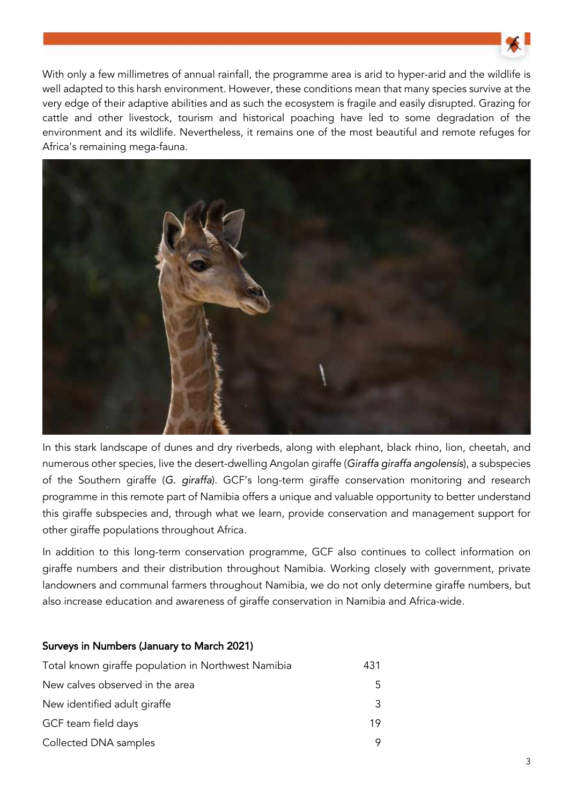

With only a few millimetres of annual rainfall, the programme area is arid to hyper-arid and the wildlife is well adapted to this harsh environment. However, these conditions mean that many species survive at the very edge of their adaptive abilities and as such the ecosystem is fragile and easily disrupted. Grazing for cattle and other livestock, tourism and historical poaching have led to some degradation of the environment and its wildlife. Nevertheless, it remains one of the most beautiful and remote refuges for Africa's remaining mega-fauna.



In this stark landscape of dunes and dry riverbeds, along with elephant, black rhino, lion, cheetah, and numerous other species, live the desert-dwelling Angolan giraffe (*Giraffa giraffa angolensis*), a subspecies of the Southern giraffe (*G. giraffa*). GCF's long-term giraffe conservation monitoring and research programme in this remote part of Namibia offers a unique and valuable opportunity to better understand this giraffe subspecies and, through what we learn, provide conservation and management support for other giraffe populations throughout Africa.

In addition to this long-term conservation programme, GCF also continues to collect information on giraffe numbers and their distribution throughout Namibia. Working closely with government, private landowners and communal farmers throughout Namibia, we do not only determine giraffe numbers, but also increase education and awareness of giraffe conservation in Namibia and Africa-wide.

#### Surveys in Numbers (January to March 2021)

| Total known giraffe population in Northwest Namibia | 431 |
|-----------------------------------------------------|-----|
| New calves observed in the area                     | 5.  |
| New identified adult giraffe                        | 3   |
| GCF team field days                                 | 19  |
| Collected DNA samples                               |     |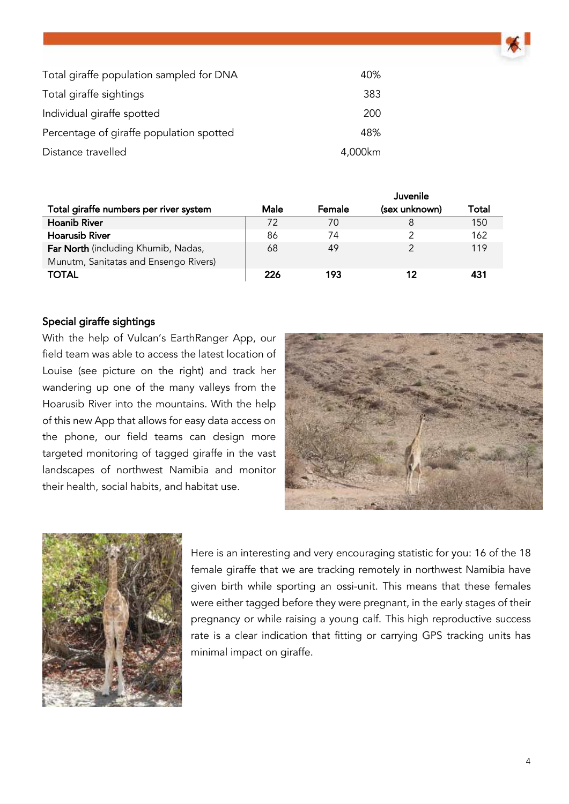| Total giraffe population sampled for DNA | 40%     |
|------------------------------------------|---------|
| Total giraffe sightings                  | 383     |
| Individual giraffe spotted               | 200     |
| Percentage of giraffe population spotted | 48%     |
| Distance travelled                       | 4,000km |

|                                        |      |        | Juvenile      |       |
|----------------------------------------|------|--------|---------------|-------|
| Total giraffe numbers per river system | Male | Female | (sex unknown) | Total |
| <b>Hoanib River</b>                    | 72   | 70     | 8             | 150   |
| <b>Hoarusib River</b>                  | 86   | 74     |               | 162   |
| Far North (including Khumib, Nadas,    | 68   | 49     |               | 119   |
| Munutm, Sanitatas and Ensengo Rivers)  |      |        |               |       |
| <b>TOTAL</b>                           | 226  | 193    | 12            |       |

#### Special giraffe sightings

With the help of Vulcan's EarthRanger App, our field team was able to access the latest location of Louise (see picture on the right) and track her wandering up one of the many valleys from the Hoarusib River into the mountains. With the help of this new App that allows for easy data access on the phone, our field teams can design more targeted monitoring of tagged giraffe in the vast landscapes of northwest Namibia and monitor their health, social habits, and habitat use.





Here is an interesting and very encouraging statistic for you: 16 of the 18 female giraffe that we are tracking remotely in northwest Namibia have given birth while sporting an ossi-unit. This means that these females were either tagged before they were pregnant, in the early stages of their pregnancy or while raising a young calf. This high reproductive success rate is a clear indication that fitting or carrying GPS tracking units has minimal impact on giraffe.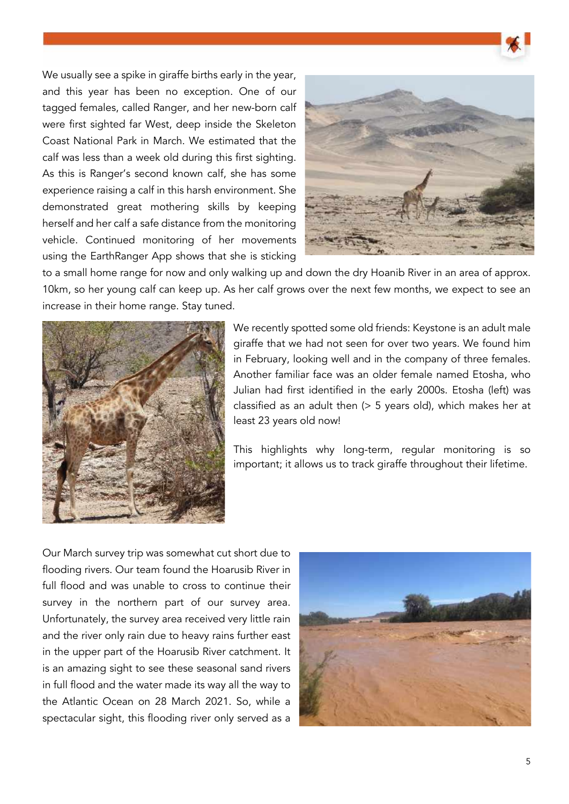



to a small home range for now and only walking up and down the dry Hoanib River in an area of approx. 10km, so her young calf can keep up. As her calf grows over the next few months, we expect to see an increase in their home range. Stay tuned.



We recently spotted some old friends: Keystone is an adult male giraffe that we had not seen for over two years. We found him in February, looking well and in the company of three females. Another familiar face was an older female named Etosha, who Julian had first identified in the early 2000s. Etosha (left) was classified as an adult then (> 5 years old), which makes her at least 23 years old now!

This highlights why long-term, regular monitoring is so important; it allows us to track giraffe throughout their lifetime.

Our March survey trip was somewhat cut short due to flooding rivers. Our team found the Hoarusib River in full flood and was unable to cross to continue their survey in the northern part of our survey area. Unfortunately, the survey area received very little rain and the river only rain due to heavy rains further east in the upper part of the Hoarusib River catchment. It is an amazing sight to see these seasonal sand rivers in full flood and the water made its way all the way to the Atlantic Ocean on 28 March 2021. So, while a spectacular sight, this flooding river only served as a

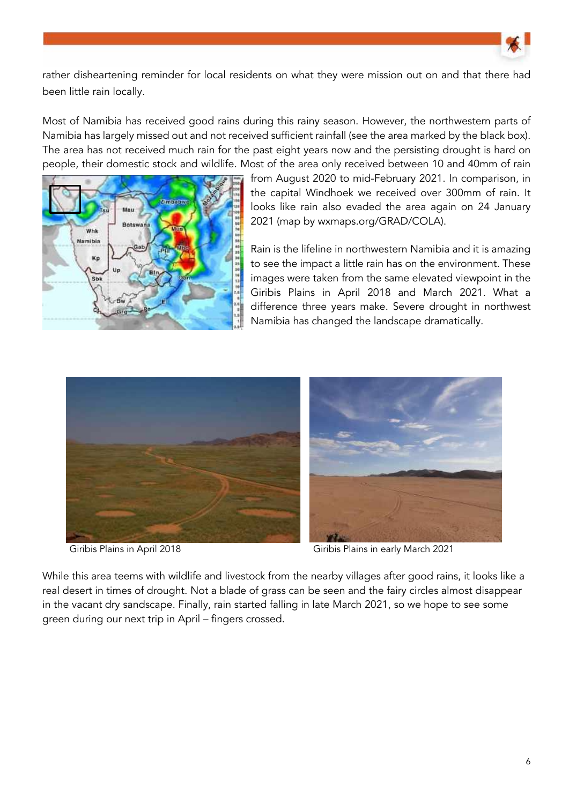

rather disheartening reminder for local residents on what they were mission out on and that there had been little rain locally.

Most of Namibia has received good rains during this rainy season. However, the northwestern parts of Namibia has largely missed out and not received sufficient rainfall (see the area marked by the black box). The area has not received much rain for the past eight years now and the persisting drought is hard on people, their domestic stock and wildlife. Most of the area only received between 10 and 40mm of rain



from August 2020 to mid-February 2021. In comparison, in the capital Windhoek we received over 300mm of rain. It looks like rain also evaded the area again on 24 January 2021 (map by wxmaps.org/GRAD/COLA).

Rain is the lifeline in northwestern Namibia and it is amazing to see the impact a little rain has on the environment. These images were taken from the same elevated viewpoint in the Giribis Plains in April 2018 and March 2021. What a difference three years make. Severe drought in northwest Namibia has changed the landscape dramatically.





Giribis Plains in April 2018 Giribis Plains in early March 2021

While this area teems with wildlife and livestock from the nearby villages after good rains, it looks like a real desert in times of drought. Not a blade of grass can be seen and the fairy circles almost disappear in the vacant dry sandscape. Finally, rain started falling in late March 2021, so we hope to see some green during our next trip in April – fingers crossed.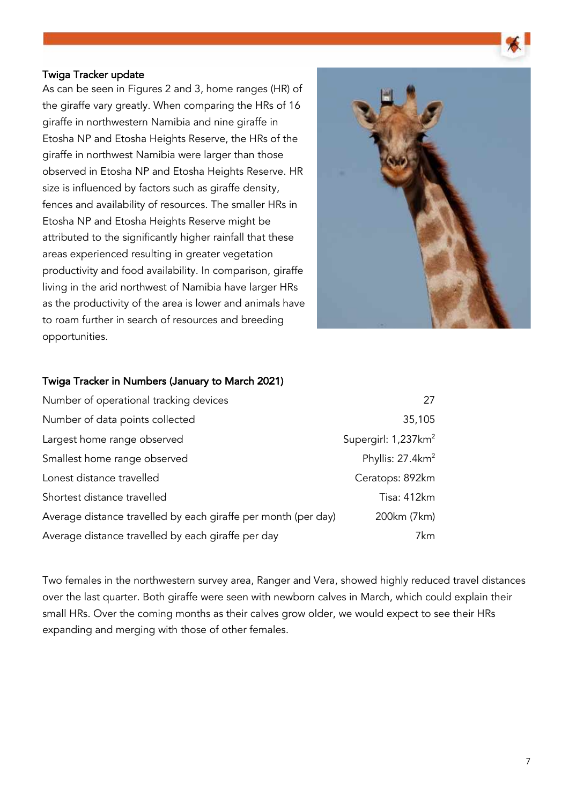#### Twiga Tracker update

As can be seen in Figures 2 and 3, home ranges (HR) of the giraffe vary greatly. When comparing the HRs of 16 giraffe in northwestern Namibia and nine giraffe in Etosha NP and Etosha Heights Reserve, the HRs of the giraffe in northwest Namibia were larger than those observed in Etosha NP and Etosha Heights Reserve. HR size is influenced by factors such as giraffe density, fences and availability of resources. The smaller HRs in Etosha NP and Etosha Heights Reserve might be attributed to the significantly higher rainfall that these areas experienced resulting in greater vegetation productivity and food availability. In comparison, giraffe living in the arid northwest of Namibia have larger HRs as the productivity of the area is lower and animals have to roam further in search of resources and breeding opportunities.



#### Twiga Tracker in Numbers (January to March 2021)

| Number of operational tracking devices                         | 27                              |
|----------------------------------------------------------------|---------------------------------|
| Number of data points collected                                | 35,105                          |
| Largest home range observed                                    | Supergirl: 1,237km <sup>2</sup> |
| Smallest home range observed                                   | Phyllis: $27.4 \text{km}^2$     |
| Lonest distance travelled                                      | Ceratops: 892km                 |
| Shortest distance travelled                                    | Tisa: 412km                     |
| Average distance travelled by each giraffe per month (per day) | 200km (7km)                     |
| Average distance travelled by each giraffe per day             | 7km                             |

Two females in the northwestern survey area, Ranger and Vera, showed highly reduced travel distances over the last quarter. Both giraffe were seen with newborn calves in March, which could explain their small HRs. Over the coming months as their calves grow older, we would expect to see their HRs expanding and merging with those of other females.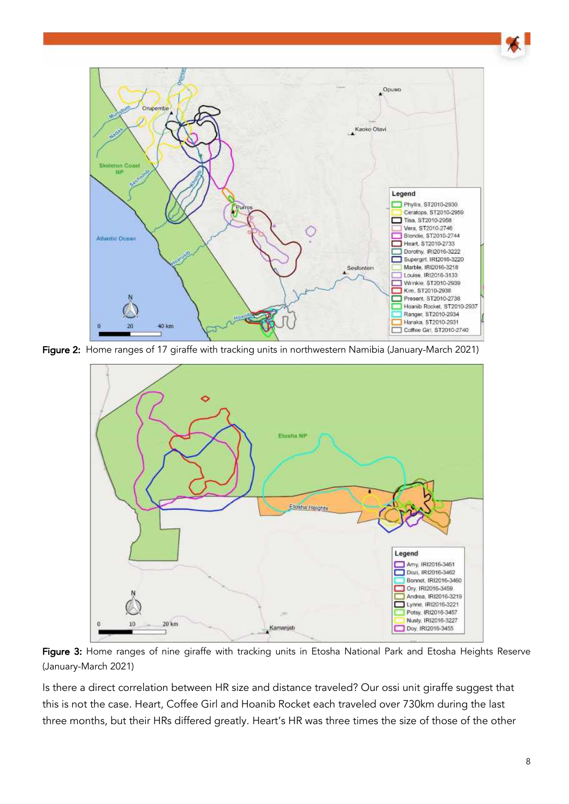

Figure 2: Home ranges of 17 giraffe with tracking units in northwestern Namibia (January-March 2021)



Figure 3: Home ranges of nine giraffe with tracking units in Etosha National Park and Etosha Heights Reserve (January-March 2021)

Is there a direct correlation between HR size and distance traveled? Our ossi unit giraffe suggest that this is not the case. Heart, Coffee Girl and Hoanib Rocket each traveled over 730km during the last three months, but their HRs differed greatly. Heart's HR was three times the size of those of the other